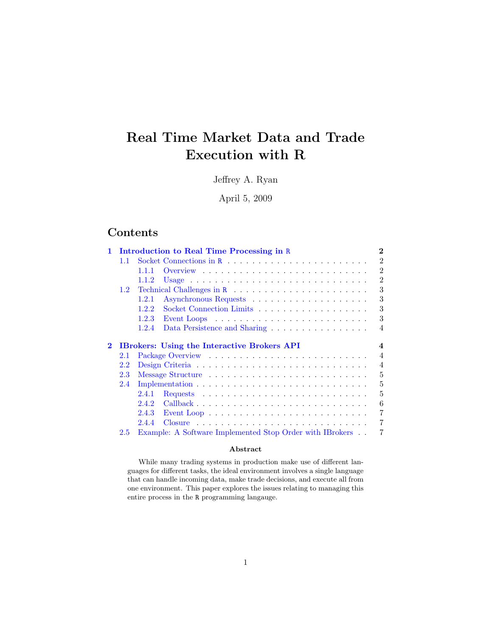# Real Time Market Data and Trade Execution with R

Jeffrey A. Ryan

April 5, 2009

# Contents

| 1.       |               | Introduction to Real Time Processing in R                                                 | $\overline{2}$   |
|----------|---------------|-------------------------------------------------------------------------------------------|------------------|
|          | 1.1           |                                                                                           | $\mathfrak{D}$   |
|          |               | 1.1.1                                                                                     | $\overline{2}$   |
|          |               | 1.1.2                                                                                     | $\overline{2}$   |
|          | $1.2^{\circ}$ |                                                                                           | 3                |
|          |               | 1.2.1                                                                                     | 3                |
|          |               | 1.2.2                                                                                     | 3                |
|          |               | 1.2.3<br>Event Loops $\ldots \ldots \ldots \ldots \ldots \ldots \ldots \ldots \ldots$     | 3                |
|          |               | 1.2.4<br>Data Persistence and Sharing                                                     | $\overline{4}$   |
|          |               |                                                                                           |                  |
| $\bf{2}$ |               | <b>IBrokers:</b> Using the Interactive Brokers API                                        | $\boldsymbol{4}$ |
|          | 2.1           |                                                                                           | $\overline{4}$   |
|          | 2.2           |                                                                                           | $\overline{4}$   |
|          | 2.3           |                                                                                           | 5                |
|          | 2.4           |                                                                                           | 5                |
|          |               | 2.4.1<br>Requests $\ldots \ldots \ldots \ldots \ldots \ldots \ldots \ldots \ldots \ldots$ | 5                |
|          |               | 2.4.2                                                                                     | 6                |
|          |               | 2.4.3                                                                                     | 7                |
|          |               |                                                                                           |                  |
|          |               | 2.4.4                                                                                     | 7                |

### Abstract

While many trading systems in production make use of different languages for different tasks, the ideal environment involves a single language that can handle incoming data, make trade decisions, and execute all from one environment. This paper explores the issues relating to managing this entire process in the R programming langauge.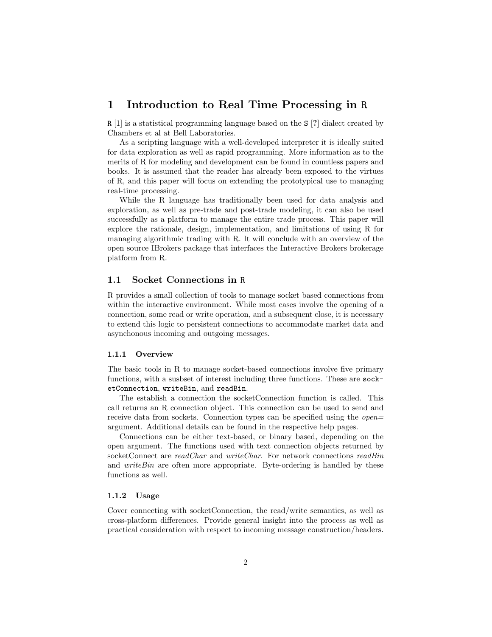# <span id="page-1-0"></span>1 Introduction to Real Time Processing in R

R [\[1\]](#page-6-3) is a statistical programming language based on the S [?] dialect created by Chambers et al at Bell Laboratories.

As a scripting language with a well-developed interpreter it is ideally suited for data exploration as well as rapid programming. More information as to the merits of R for modeling and development can be found in countless papers and books. It is assumed that the reader has already been exposed to the virtues of R, and this paper will focus on extending the prototypical use to managing real-time processing.

While the R language has traditionally been used for data analysis and exploration, as well as pre-trade and post-trade modeling, it can also be used successfully as a platform to manage the entire trade process. This paper will explore the rationale, design, implementation, and limitations of using R for managing algorithmic trading with R. It will conclude with an overview of the open source IBrokers package that interfaces the Interactive Brokers brokerage platform from R.

### <span id="page-1-1"></span>1.1 Socket Connections in R

R provides a small collection of tools to manage socket based connections from within the interactive environment. While most cases involve the opening of a connection, some read or write operation, and a subsequent close, it is necessary to extend this logic to persistent connections to accommodate market data and asynchonous incoming and outgoing messages.

### <span id="page-1-2"></span>1.1.1 Overview

The basic tools in R to manage socket-based connections involve five primary functions, with a susbset of interest including three functions. These are socketConnection, writeBin, and readBin.

The establish a connection the socketConnection function is called. This call returns an R connection object. This connection can be used to send and receive data from sockets. Connection types can be specified using the *open*= argument. Additional details can be found in the respective help pages.

Connections can be either text-based, or binary based, depending on the open argument. The functions used with text connection objects returned by socketConnect are readChar and writeChar. For network connections readBin and *writeBin* are often more appropriate. Byte-ordering is handled by these functions as well.

### <span id="page-1-3"></span>1.1.2 Usage

Cover connecting with socketConnection, the read/write semantics, as well as cross-platform differences. Provide general insight into the process as well as practical consideration with respect to incoming message construction/headers.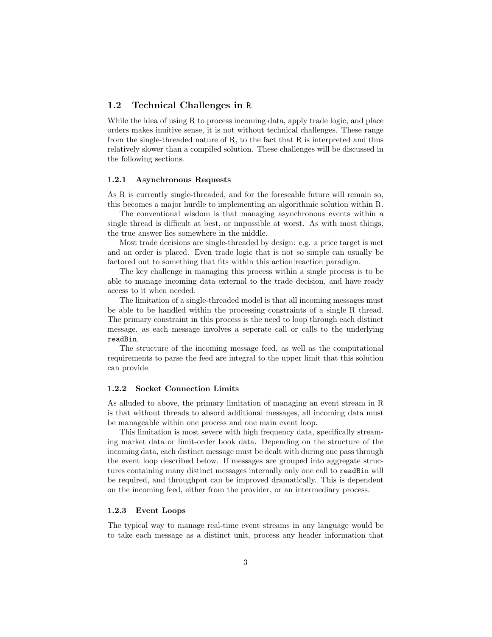## <span id="page-2-0"></span>1.2 Technical Challenges in R

While the idea of using R to process incoming data, apply trade logic, and place orders makes inuitive sense, it is not without technical challenges. These range from the single-threaded nature of R, to the fact that R is interpreted and thus relatively slower than a compiled solution. These challenges will be discussed in the following sections.

#### <span id="page-2-1"></span>1.2.1 Asynchronous Requests

As R is currently single-threaded, and for the foreseable future will remain so, this becomes a major hurdle to implementing an algorithmic solution within R.

The conventional wisdom is that managing asynchronous events within a single thread is difficult at best, or impossible at worst. As with most things, the true answer lies somewhere in the middle.

Most trade decisions are single-threaded by design: e.g. a price target is met and an order is placed. Even trade logic that is not so simple can usually be factored out to something that fits within this action|reaction paradigm.

The key challenge in managing this process within a single process is to be able to manage incoming data external to the trade decision, and have ready access to it when needed.

The limitation of a single-threaded model is that all incoming messages must be able to be handled within the processing constraints of a single R thread. The primary constraint in this process is the need to loop through each distinct message, as each message involves a seperate call or calls to the underlying readBin.

The structure of the incoming message feed, as well as the computational requirements to parse the feed are integral to the upper limit that this solution can provide.

### <span id="page-2-2"></span>1.2.2 Socket Connection Limits

As alluded to above, the primary limitation of managing an event stream in R is that without threads to absord additional messages, all incoming data must be manageable within one process and one main event loop.

This limitation is most severe with high frequency data, specifically streaming market data or limit-order book data. Depending on the structure of the incoming data, each distinct message must be dealt with during one pass through the event loop described below. If messages are grouped into aggregate structures containing many distinct messages internally only one call to readBin will be required, and throughput can be improved dramatically. This is dependent on the incoming feed, either from the provider, or an intermediary process.

#### <span id="page-2-3"></span>1.2.3 Event Loops

The typical way to manage real-time event streams in any language would be to take each message as a distinct unit, process any header information that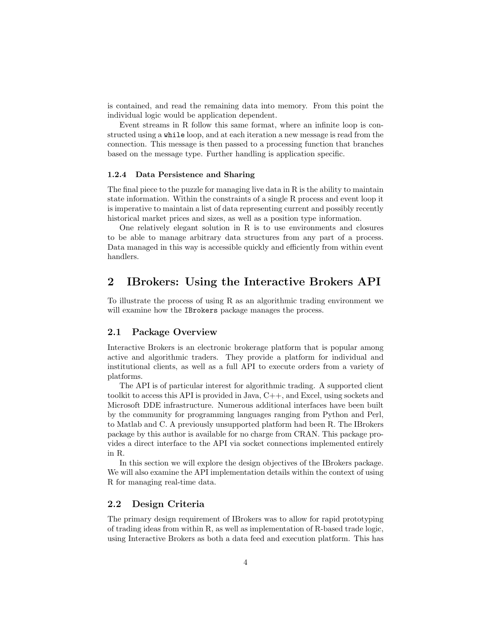is contained, and read the remaining data into memory. From this point the individual logic would be application dependent.

Event streams in R follow this same format, where an infinite loop is constructed using a while loop, and at each iteration a new message is read from the connection. This message is then passed to a processing function that branches based on the message type. Further handling is application specific.

### <span id="page-3-0"></span>1.2.4 Data Persistence and Sharing

The final piece to the puzzle for managing live data in R is the ability to maintain state information. Within the constraints of a single R process and event loop it is imperative to maintain a list of data representing current and possibly recently historical market prices and sizes, as well as a position type information.

One relatively elegant solution in  $R$  is to use environments and closures to be able to manage arbitrary data structures from any part of a process. Data managed in this way is accessible quickly and efficiently from within event handlers.

# <span id="page-3-1"></span>2 IBrokers: Using the Interactive Brokers API

To illustrate the process of using R as an algorithmic trading environment we will examine how the IBrokers package manages the process.

# <span id="page-3-2"></span>2.1 Package Overview

Interactive Brokers is an electronic brokerage platform that is popular among active and algorithmic traders. They provide a platform for individual and institutional clients, as well as a full API to execute orders from a variety of platforms.

The API is of particular interest for algorithmic trading. A supported client toolkit to access this API is provided in Java, C++, and Excel, using sockets and Microsoft DDE infrastructure. Numerous additional interfaces have been built by the community for programming languages ranging from Python and Perl, to Matlab and C. A previously unsupported platform had been R. The IBrokers package by this author is available for no charge from CRAN. This package provides a direct interface to the API via socket connections implemented entirely in R.

In this section we will explore the design objectives of the IBrokers package. We will also examine the API implementation details within the context of using R for managing real-time data.

## <span id="page-3-3"></span>2.2 Design Criteria

The primary design requirement of IBrokers was to allow for rapid prototyping of trading ideas from within R, as well as implementation of R-based trade logic, using Interactive Brokers as both a data feed and execution platform. This has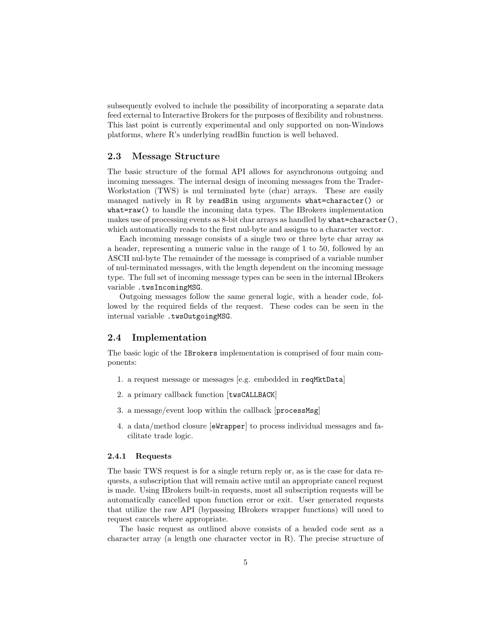subsequently evolved to include the possibility of incorporating a separate data feed external to Interactive Brokers for the purposes of flexibility and robustness. This last point is currently experimental and only supported on non-Windows platforms, where R's underlying readBin function is well behaved.

### <span id="page-4-0"></span>2.3 Message Structure

The basic structure of the formal API allows for asynchronous outgoing and incoming messages. The internal design of incoming messages from the Trader-Workstation (TWS) is nul terminated byte (char) arrays. These are easily managed natively in R by readBin using arguments what=character() or what=raw() to handle the incoming data types. The IBrokers implementation makes use of processing events as 8-bit char arrays as handled by what=character(). which automatically reads to the first nul-byte and assigns to a character vector.

Each incoming message consists of a single two or three byte char array as a header, representing a numeric value in the range of 1 to 50, followed by an ASCII nul-byte The remainder of the message is comprised of a variable number of nul-terminated messages, with the length dependent on the incoming message type. The full set of incoming message types can be seen in the internal IBrokers variable .twsIncomingMSG.

Outgoing messages follow the same general logic, with a header code, followed by the required fields of the request. These codes can be seen in the internal variable .twsOutgoingMSG.

### <span id="page-4-1"></span>2.4 Implementation

The basic logic of the IBrokers implementation is comprised of four main components:

- 1. a request message or messages [e.g. embedded in reqMktData]
- 2. a primary callback function [twsCALLBACK]
- 3. a message/event loop within the callback [processMsg]
- 4. a data/method closure [eWrapper] to process individual messages and facilitate trade logic.

### <span id="page-4-2"></span>2.4.1 Requests

The basic TWS request is for a single return reply or, as is the case for data requests, a subscription that will remain active until an appropriate cancel request is made. Using IBrokers built-in requests, most all subscription requests will be automatically cancelled upon function error or exit. User generated requests that utilize the raw API (bypassing IBrokers wrapper functions) will need to request cancels where appropriate.

The basic request as outlined above consists of a headed code sent as a character array (a length one character vector in R). The precise structure of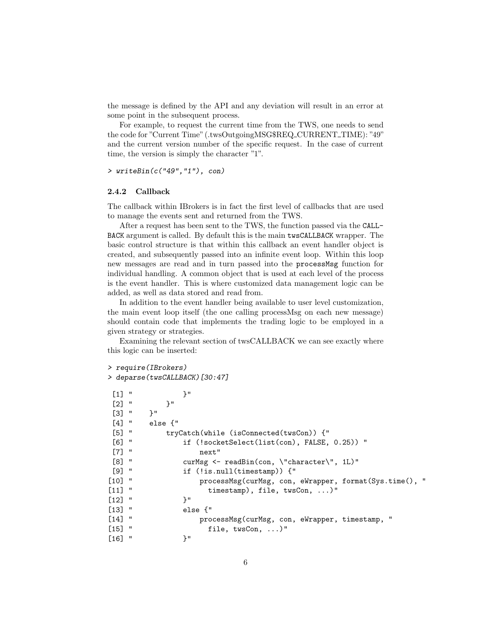the message is defined by the API and any deviation will result in an error at some point in the subsequent process.

For example, to request the current time from the TWS, one needs to send the code for "Current Time" (.twsOutgoingMSG\$REQ CURRENT TIME): "49" and the current version number of the specific request. In the case of current time, the version is simply the character "1".

> writeBin(c("49","1"), con)

#### <span id="page-5-0"></span>2.4.2 Callback

The callback within IBrokers is in fact the first level of callbacks that are used to manage the events sent and returned from the TWS.

After a request has been sent to the TWS, the function passed via the CALL-BACK argument is called. By default this is the main twsCALLBACK wrapper. The basic control structure is that within this callback an event handler object is created, and subsequently passed into an infinite event loop. Within this loop new messages are read and in turn passed into the processMsg function for individual handling. A common object that is used at each level of the process is the event handler. This is where customized data management logic can be added, as well as data stored and read from.

In addition to the event handler being available to user level customization, the main event loop itself (the one calling processMsg on each new message) should contain code that implements the trading logic to be employed in a given strategy or strategies.

Examining the relevant section of twsCALLBACK we can see exactly where this logic can be inserted:

```
> require(IBrokers)
```

```
> deparse(twsCALLBACK)[30:47]
```

```
[1] " }"
[2] " }"<br>[3] " }"
\lceil 3 \rceil "
[4] " else {"
[5] " tryCatch(while (isConnected(twsCon)) {"
[6] " if (!socketSelect(list(con), FALSE, 0.25)) "
[7] " next"
[8] " curMsg <- readBin(con, \"character\", 1L)"
[9] " if (!is.null(timestamp)) {"
[10] " processMsg(curMsg, con, eWrapper, format(Sys.time(), "
[11] " timestamp), file, twsCon, ...)"
[12] " }"
[13] " else {"
[14] " processMsg(curMsg, con, eWrapper, timestamp, "
[15] " file, twsCon, ...)"
[16] " }"
```